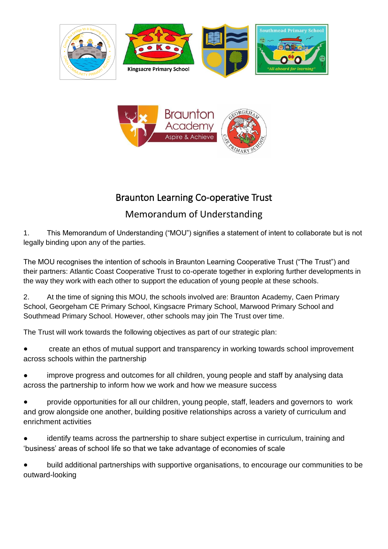



## Braunton Learning Co-operative Trust

## Memorandum of Understanding

1. This Memorandum of Understanding ("MOU") signifies a statement of intent to collaborate but is not legally binding upon any of the parties.

The MOU recognises the intention of schools in Braunton Learning Cooperative Trust ("The Trust") and their partners: Atlantic Coast Cooperative Trust to co-operate together in exploring further developments in the way they work with each other to support the education of young people at these schools.

2. At the time of signing this MOU, the schools involved are: Braunton Academy, Caen Primary School, Georgeham CE Primary School, Kingsacre Primary School, Marwood Primary School and Southmead Primary School. However, other schools may join The Trust over time.

The Trust will work towards the following objectives as part of our strategic plan:

- create an ethos of mutual support and transparency in working towards school improvement across schools within the partnership
- improve progress and outcomes for all children, young people and staff by analysing data across the partnership to inform how we work and how we measure success
- provide opportunities for all our children, young people, staff, leaders and governors to work and grow alongside one another, building positive relationships across a variety of curriculum and enrichment activities
- identify teams across the partnership to share subject expertise in curriculum, training and 'business' areas of school life so that we take advantage of economies of scale
- build additional partnerships with supportive organisations, to encourage our communities to be outward-looking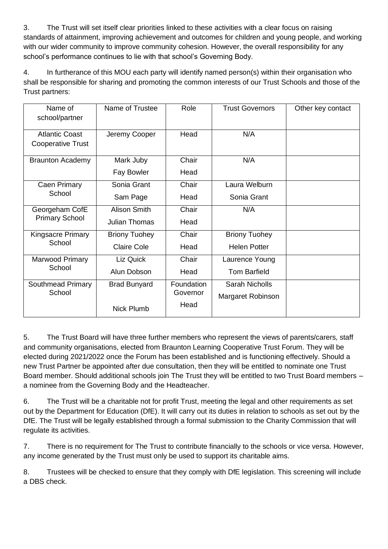3. The Trust will set itself clear priorities linked to these activities with a clear focus on raising standards of attainment, improving achievement and outcomes for children and young people, and working with our wider community to improve community cohesion. However, the overall responsibility for any school's performance continues to lie with that school's Governing Body.

4. In furtherance of this MOU each party will identify named person(s) within their organisation who shall be responsible for sharing and promoting the common interests of our Trust Schools and those of the Trust partners:

| Name of<br>school/partner   | Name of Trustee      | Role       | <b>Trust Governors</b> | Other key contact |
|-----------------------------|----------------------|------------|------------------------|-------------------|
|                             |                      |            |                        |                   |
| <b>Atlantic Coast</b>       | Jeremy Cooper        | Head       | N/A                    |                   |
| <b>Cooperative Trust</b>    |                      |            |                        |                   |
| <b>Braunton Academy</b>     | Mark Juby            | Chair      | N/A                    |                   |
|                             | Fay Bowler           | Head       |                        |                   |
| Caen Primary<br>School      | Sonia Grant          | Chair      | Laura Welburn          |                   |
|                             | Sam Page             | Head       | Sonia Grant            |                   |
| Georgeham CofE              | <b>Alison Smith</b>  | Chair      | N/A                    |                   |
| <b>Primary School</b>       | <b>Julian Thomas</b> | Head       |                        |                   |
| <b>Kingsacre Primary</b>    | <b>Briony Tuohey</b> | Chair      | <b>Briony Tuohey</b>   |                   |
| School                      | <b>Claire Cole</b>   | Head       | <b>Helen Potter</b>    |                   |
| Marwood Primary<br>School   | Liz Quick            | Chair      | Laurence Young         |                   |
|                             | Alun Dobson          | Head       | <b>Tom Barfield</b>    |                   |
| Southmead Primary<br>School | <b>Brad Bunyard</b>  | Foundation | <b>Sarah Nicholls</b>  |                   |
|                             |                      | Governor   | Margaret Robinson      |                   |
|                             | <b>Nick Plumb</b>    | Head       |                        |                   |

5. The Trust Board will have three further members who represent the views of parents/carers, staff and community organisations, elected from Braunton Learning Cooperative Trust Forum. They will be elected during 2021/2022 once the Forum has been established and is functioning effectively. Should a new Trust Partner be appointed after due consultation, then they will be entitled to nominate one Trust Board member. Should additional schools join The Trust they will be entitled to two Trust Board members – a nominee from the Governing Body and the Headteacher.

6. The Trust will be a charitable not for profit Trust, meeting the legal and other requirements as set out by the Department for Education (DfE). It will carry out its duties in relation to schools as set out by the DfE. The Trust will be legally established through a formal submission to the Charity Commission that will regulate its activities.

7. There is no requirement for The Trust to contribute financially to the schools or vice versa. However, any income generated by the Trust must only be used to support its charitable aims.

8. Trustees will be checked to ensure that they comply with DfE legislation. This screening will include a DBS check.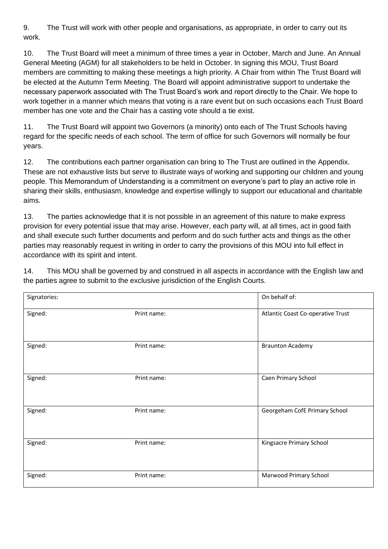9. The Trust will work with other people and organisations, as appropriate, in order to carry out its work.

10. The Trust Board will meet a minimum of three times a year in October, March and June. An Annual General Meeting (AGM) for all stakeholders to be held in October. In signing this MOU, Trust Board members are committing to making these meetings a high priority. A Chair from within The Trust Board will be elected at the Autumn Term Meeting. The Board will appoint administrative support to undertake the necessary paperwork associated with The Trust Board's work and report directly to the Chair. We hope to work together in a manner which means that voting is a rare event but on such occasions each Trust Board member has one vote and the Chair has a casting vote should a tie exist.

11. The Trust Board will appoint two Governors (a minority) onto each of The Trust Schools having regard for the specific needs of each school. The term of office for such Governors will normally be four years.

12. The contributions each partner organisation can bring to The Trust are outlined in the Appendix. These are not exhaustive lists but serve to illustrate ways of working and supporting our children and young people. This Memorandum of Understanding is a commitment on everyone's part to play an active role in sharing their skills, enthusiasm, knowledge and expertise willingly to support our educational and charitable aims.

13. The parties acknowledge that it is not possible in an agreement of this nature to make express provision for every potential issue that may arise. However, each party will, at all times, act in good faith and shall execute such further documents and perform and do such further acts and things as the other parties may reasonably request in writing in order to carry the provisions of this MOU into full effect in accordance with its spirit and intent.

14. This MOU shall be governed by and construed in all aspects in accordance with the English law and the parties agree to submit to the exclusive jurisdiction of the English Courts.

| Signatories: |             | On behalf of:                     |  |
|--------------|-------------|-----------------------------------|--|
| Signed:      | Print name: | Atlantic Coast Co-operative Trust |  |
| Signed:      | Print name: | <b>Braunton Academy</b>           |  |
| Signed:      | Print name: | Caen Primary School               |  |
| Signed:      | Print name: | Georgeham CofE Primary School     |  |
| Signed:      | Print name: | Kingsacre Primary School          |  |
| Signed:      | Print name: | Marwood Primary School            |  |